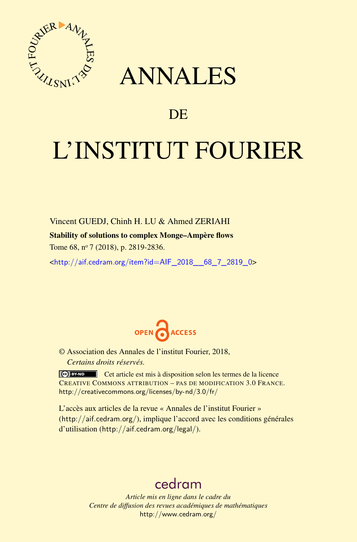

## ANNALES

### **DE**

# L'INSTITUT FOURIER

Vincent GUEDJ, Chinh H. LU & Ahmed ZERIAHI Stability of solutions to complex Monge–Ampère flows Tome 68, n<sup>o</sup> 7 (2018), p. 2819-2836.

<[http://aif.cedram.org/item?id=AIF\\_2018\\_\\_68\\_7\\_2819\\_0](http://aif.cedram.org/item?id=AIF_2018__68_7_2819_0)>



© Association des Annales de l'institut Fourier, 2018, *Certains droits réservés.*

Cet article est mis à disposition selon les termes de la licence CREATIVE COMMONS ATTRIBUTION – PAS DE MODIFICATION 3.0 FRANCE. <http://creativecommons.org/licenses/by-nd/3.0/fr/>

L'accès aux articles de la revue « Annales de l'institut Fourier » (<http://aif.cedram.org/>), implique l'accord avec les conditions générales d'utilisation (<http://aif.cedram.org/legal/>).

## [cedram](http://www.cedram.org/)

*Article mis en ligne dans le cadre du Centre de diffusion des revues académiques de mathématiques* <http://www.cedram.org/>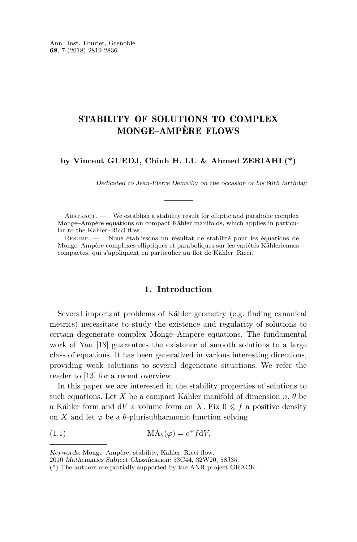#### STABILITY OF SOLUTIONS TO COMPLEX MONGE–AMPÈRE FLOWS

#### **by Vincent GUEDJ, Chinh H. LU & Ahmed ZERIAHI (\*)**

Dedicated to Jean-Pierre Demailly on the occasion of his 60th birthday

Abstract. — We establish a stability result for elliptic and parabolic complex Monge–Ampère equations on compact Kähler manifolds, which applies in particular to the Kähler–Ricci flow.

Résumé. — Nous établissons un résultat de stabilité pour les équations de Monge–Ampère complexes elliptiques et paraboliques sur les variétés Kähleriennes compactes, qui s'appliquent en particulier au flot de Kähler–Ricci.

#### **1. Introduction**

Several important problems of Kähler geometry (e.g. finding canonical metrics) necessitate to study the existence and regularity of solutions to certain degenerate complex Monge–Ampère equations. The fundamental work of Yau [\[18\]](#page-18-0) guarantees the existence of smooth solutions to a large class of equations. It has been generalized in various interesting directions, providing weak solutions to several degenerate situations. We refer the reader to [\[13\]](#page-18-1) for a recent overview.

In this paper we are interested in the stability properties of solutions to such equations. Let *X* be a compact Kähler manifold of dimension  $n, \theta$  be a Kähler form and  $dV$  a volume form on X. Fix  $0 \leq f$  a positive density on *X* and let  $\varphi$  be a  $\theta$ -plurisubharmonic function solving

(1.1) 
$$
MA_{\theta}(\varphi) = e^{\varphi} f dV,
$$

Keywords: Monge–Ampère, stability, Kähler–Ricci flow.

<sup>2010</sup> Mathematics Subject Classification: 53C44, 32W20, 58J35.

<sup>(\*)</sup> The authors are partially supported by the ANR project GRACK.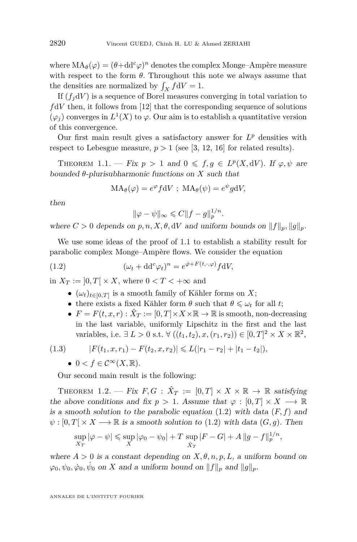where  $MA_{\theta}(\varphi) = (\theta + dd^c \varphi)^n$  denotes the complex Monge–Ampère measure with respect to the form  $\theta$ . Throughout this note we always assume that the densities are normalized by  $\int_X f dV = 1$ .

If  $(f_i dV)$  is a sequence of Borel measures converging in total variation to  $f dV$  then, it follows from [\[12\]](#page-18-2) that the corresponding sequence of solutions  $(\varphi_j)$  converges in  $L^1(X)$  to  $\varphi$ . Our aim is to establish a quantitative version of this convergence.

Our first main result gives a satisfactory answer for  $L^p$  densities with respect to Lebesgue measure,  $p > 1$  (see [\[3,](#page-17-0) [12,](#page-18-2) [16\]](#page-18-3) for related results).

<span id="page-2-0"></span>THEOREM 1.1. — Fix  $p > 1$  and  $0 \leq f, g \in L^p(X, dV)$ . If  $\varphi, \psi$  are bounded *θ*-plurisubharmonic functions on *X* such that

$$
MA_{\theta}(\varphi) = e^{\varphi} f dV ; MA_{\theta}(\psi) = e^{\psi} g dV,
$$

then

<span id="page-2-1"></span>
$$
\|\varphi - \psi\|_{\infty} \leqslant C \|f - g\|_p^{1/n}.
$$

where  $C > 0$  depends on  $p, n, X, \theta, dV$  and uniform bounds on  $||f||_p, ||g||_p$ .

We use some ideas of the proof of [1.1](#page-2-0) to establish a stability result for parabolic complex Monge–Ampère flows. We consider the equation

(1.2) 
$$
(\omega_t + \mathrm{d} \mathrm{d}^c \varphi_t)^n = e^{\dot{\varphi} + F(t, \cdot, \varphi)} f \mathrm{d} V,
$$

in  $X_T := [0, T] \times X$ , where  $0 < T < +\infty$  and

- $\bullet$  ( $ω_t$ )<sub>*t*∈[0,*T*]</sub> is a smooth family of Kähler forms on *X*;
- there exists a fixed Kähler form  $\theta$  such that  $\theta \leq \omega_t$  for all *t*;
- $F = F(t, x, r) : \hat{X}_T := [0, T] \times X \times \mathbb{R} \to \mathbb{R}$  is smooth, non-decreasing in the last variable, uniformly Lipschitz in the first and the last variables, i.e. ∃ *L* > 0 s.t.  $\forall ((t_1, t_2), x, (r_1, r_2)) \in [0, T]^2 \times X \times \mathbb{R}^2$ ,

$$
(1.3) \t\t\t |F(t1,x,r1) - F(t2,x,r2)| \leq L(|r1 - r2| + |t1 - t2|),
$$

<span id="page-2-3"></span>•  $0 < f \in C^{\infty}(X,\mathbb{R}).$ 

Our second main result is the following:

<span id="page-2-2"></span>THEOREM 1.2. — Fix  $F, G: \hat{X}_T := [0,T] \times X \times \mathbb{R} \to \mathbb{R}$  satisfying the above conditions and fix  $p > 1$ . Assume that  $\varphi : [0, T] \times X \longrightarrow \mathbb{R}$ is a smooth solution to the parabolic equation  $(1.2)$  with data  $(F, f)$  and  $\psi$ :  $[0, T] \times X \longrightarrow \mathbb{R}$  is a smooth solution to [\(1.2\)](#page-2-1) with data  $(G, g)$ . Then

$$
\sup_{X_T} |\varphi - \psi| \le \sup_X |\varphi_0 - \psi_0| + T \sup_{\hat{X}_T} |F - G| + A \|g - f\|_p^{1/n},
$$

where  $A > 0$  is a constant depending on  $X, \theta, n, p, L$ , a uniform bound on  $\varphi_0, \psi_0, \dot{\varphi}_0, \dot{\psi}_0$  on *X* and a uniform bound on  $||f||_p$  and  $||g||_p$ .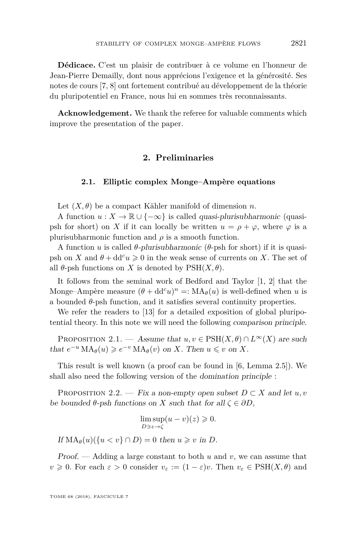**Dédicace.** C'est un plaisir de contribuer à ce volume en l'honneur de Jean-Pierre Demailly, dont nous apprécions l'exigence et la générosité. Ses notes de cours [\[7,](#page-18-4) [8\]](#page-18-5) ont fortement contribué au développement de la théorie du pluripotentiel en France, nous lui en sommes très reconnaissants.

**Acknowledgement.** We thank the referee for valuable comments which improve the presentation of the paper.

#### **2. Preliminaries**

#### **2.1. Elliptic complex Monge–Ampère equations**

Let  $(X, \theta)$  be a compact Kähler manifold of dimension *n*.

A function  $u: X \to \mathbb{R} \cup \{-\infty\}$  is called *quasi-plurisubharmonic* (quasipsh for short) on *X* if it can locally be written  $u = \rho + \varphi$ , where  $\varphi$  is a plurisubharmonic function and  $\rho$  is a smooth function.

A function *u* is called *θ*-plurisubharmonic (*θ*-psh for short) if it is quasipsh on *X* and  $\theta + dd^c u \geq 0$  in the weak sense of currents on *X*. The set of all  $\theta$ -psh functions on *X* is denoted by  $PSH(X, \theta)$ .

It follows from the seminal work of Bedford and Taylor [\[1,](#page-17-1) [2\]](#page-17-2) that the Monge–Ampère measure  $(\theta + dd^c u)^n =: MA_\theta(u)$  is well-defined when *u* is a bounded  $\theta$ -psh function, and it satisfies several continuity properties.

We refer the readers to [\[13\]](#page-18-1) for a detailed exposition of global pluripotential theory. In this note we will need the following comparison principle.

<span id="page-3-0"></span>PROPOSITION 2.1. — Assume that  $u, v \in \text{PSH}(X, \theta) \cap L^{\infty}(X)$  are such that  $e^{-u} \text{MA}_{\theta}(u) \geqslant e^{-v} \text{MA}_{\theta}(v)$  on *X*. Then  $u \leqslant v$  on *X*.

This result is well known (a proof can be found in [\[6,](#page-17-3) Lemma 2.5]). We shall also need the following version of the domination principle :

<span id="page-3-1"></span>PROPOSITION 2.2. — Fix a non-empty open subset  $D \subset X$  and let  $u, v$ be bounded  $\theta$ -psh functions on *X* such that for all  $\zeta \in \partial D$ ,

$$
\limsup_{D\ni z\to \zeta} (u-v)(z)\geqslant 0.
$$

If  $MA_{\theta}(u)(\{u < v\} \cap D) = 0$  then  $u \geq v$  in *D*.

Proof. — Adding a large constant to both *u* and *v*, we can assume that  $v \ge 0$ . For each  $\varepsilon > 0$  consider  $v_{\varepsilon} := (1 - \varepsilon)v$ . Then  $v_{\varepsilon} \in \text{PSH}(X, \theta)$  and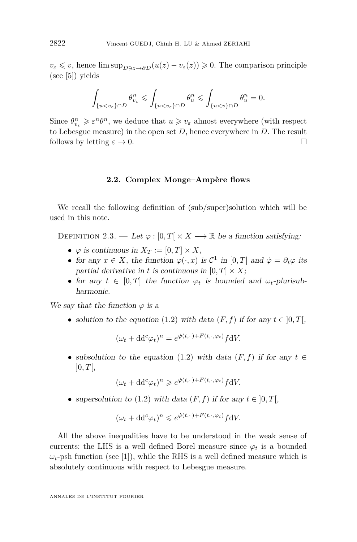$v_{\varepsilon} \leq v$ , hence lim sup<sub>*D* $\rightarrow$ *z*→*∂D*</sub>( $u(z) - v_{\varepsilon}(z)$ )  $\geq 0$ . The comparison principle (see [\[5\]](#page-17-4)) yields

$$
\int_{\{u
$$

Since  $\theta_{v_{\varepsilon}}^n \geqslant \varepsilon^n \theta^n$ , we deduce that  $u \geqslant v_{\varepsilon}$  almost everywhere (with respect to Lebesgue measure) in the open set *D*, hence everywhere in *D*. The result follows by letting  $\varepsilon \to 0$ .

#### **2.2. Complex Monge–Ampère flows**

We recall the following definition of (sub/super)solution which will be used in this note.

DEFINITION 2.3. — Let  $\varphi : [0, T] \times X \longrightarrow \mathbb{R}$  be a function satisfying:

- $\varphi$  is continuous in  $X_T := [0, T] \times X$ ,
- for any  $x \in X$ , the function  $\varphi(\cdot, x)$  is  $\mathcal{C}^1$  in  $[0, T]$  and  $\dot{\varphi} = \partial_t \varphi$  its partial derivative in *t* is continuous in  $[0, T] \times X$ ;
- for any  $t \in [0, T]$  the function  $\varphi_t$  is bounded and  $\omega_t$ -plurisubharmonic.

We say that the function  $\varphi$  is a

• solution to the equation [\(1.2\)](#page-2-1) with data  $(F, f)$  if for any  $t \in [0, T]$ ,

$$
(\omega_t + dd^c \varphi_t)^n = e^{\dot{\varphi}(t,\cdot) + F(t,\cdot,\varphi_t)} f dV.
$$

• subsolution to the equation [\(1.2\)](#page-2-1) with data  $(F, f)$  if for any  $t \in$  $]0,T[$ 

$$
(\omega_t + \mathrm{d} \mathrm{d}^c \varphi_t)^n \geqslant e^{\dot{\varphi}(t,\cdot) + F(t,\cdot,\varphi_t)} f \mathrm{d} V.
$$

• supersolution to [\(1.2\)](#page-2-1) with data  $(F, f)$  if for any  $t \in [0, T]$ ,

$$
(\omega_t + \mathrm{d} \mathrm{d}^c \varphi_t)^n \leqslant e^{\dot{\varphi}(t, \cdot) + F(t, \cdot, \varphi_t)} f \mathrm{d} V.
$$

All the above inequalities have to be understood in the weak sense of currents: the LHS is a well defined Borel measure since  $\varphi_t$  is a bounded  $\omega_t$ -psh function (see [\[1\]](#page-17-1)), while the RHS is a well defined measure which is absolutely continuous with respect to Lebesgue measure.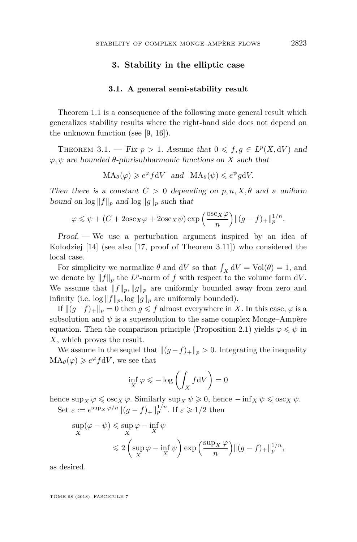#### **3. Stability in the elliptic case**

#### **3.1. A general semi-stability result**

Theorem [1.1](#page-2-0) is a consequence of the following more general result which generalizes stability results where the right-hand side does not depend on the unknown function (see [\[9,](#page-18-6) [16\]](#page-18-3)).

<span id="page-5-0"></span>THEOREM 3.1. — Fix  $p > 1$ . Assume that  $0 \leq f, g \in L^p(X, dV)$  and  $\varphi, \psi$  are bounded  $\theta$ -plurisubharmonic functions on *X* such that

 $MA_{\theta}(\varphi) \geq e^{\varphi} f dV$  and  $MA_{\theta}(\psi) \leq e^{\psi} g dV$ .

Then there is a constant  $C > 0$  depending on  $p, n, X, \theta$  and a uniform bound on  $\log ||f||_p$  and  $\log ||g||_p$  such that

$$
\varphi \leqslant \psi + (C + 2{\rm osc}_X \varphi + 2{\rm osc}_X \psi) \exp\Big(\frac{{\rm osc}_X \varphi}{n}\Big) \| (g - f)_+\|_p^{1/n}.
$$

Proof. — We use a perturbation argument inspired by an idea of Kołodziej [\[14\]](#page-18-7) (see also [\[17,](#page-18-8) proof of Theorem 3.11]) who considered the local case.

For simplicity we normalize  $\theta$  and d*V* so that  $\int_X dV = Vol(\theta) = 1$ , and we denote by  $||f||_p$  the  $L^p$ -norm of  $f$  with respect to the volume form  $dV$ . We assume that  $||f||_p$ ,  $||g||_p$  are uniformly bounded away from zero and infinity (i.e.  $\log ||f||_p$ ,  $\log ||g||_p$  are uniformly bounded).

If  $||(g-f)_{+}||_p = 0$  then *g* ≤ *f* almost everywhere in *X*. In this case, *ϕ* is a subsolution and  $\psi$  is a supersolution to the same complex Monge–Ampère equation. Then the comparison principle (Proposition [2.1\)](#page-3-0) yields  $\varphi \leq \psi$  in *X*, which proves the result.

We assume in the sequel that  $\|(g-f)_+\|_p > 0$ . Integrating the inequality  $MA_{\theta}(\varphi) \geq e^{\varphi} f dV$ , we see that

$$
\inf_{X} \varphi \leqslant -\log\left(\int_{X} f \mathrm{d}V\right) = 0
$$

hence  $\sup_X \varphi \leqslant \operatorname{osc}_X \varphi$ . Similarly  $\sup_X \psi \geqslant 0$ , hence  $-\inf_X \psi \leqslant \operatorname{osc}_X \psi$ . Set  $\varepsilon := e^{\sup_X \varphi/n} \|(g - f)_+\|_p^{1/n}$ . If  $\varepsilon \geqslant 1/2$  then

$$
\sup_{X} (\varphi - \psi) \leq \sup_{X} \varphi - \inf_{X} \psi
$$
  

$$
\leq 2 \left( \sup_{X} \varphi - \inf_{X} \psi \right) \exp \left( \frac{\sup_{X} \varphi}{n} \right) ||(g - f)_{+}||_{p}^{1/n},
$$

as desired.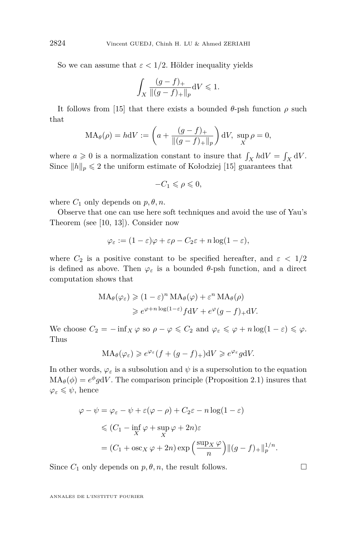So we can assume that  $\varepsilon < 1/2$ . Hölder inequality yields

$$
\int_X \frac{(g-f)_+}{\|(g-f)_+\|_p} \mathrm{d}V \leqslant 1.
$$

It follows from [\[15\]](#page-18-9) that there exists a bounded *θ*-psh function *ρ* such that

$$
MA_{\theta}(\rho) = hdV := \left( a + \frac{(g - f)_+}{\|(g - f)_+\|_p} \right) dV, \sup_X \rho = 0,
$$

where  $a \geqslant 0$  is a normalization constant to insure that  $\int_X h \, dV = \int_X dV$ . Since  $||h||_p \leq 2$  the uniform estimate of Kołodziej [\[15\]](#page-18-9) guarantees that

$$
-C_1\leqslant \rho \leqslant 0,
$$

where  $C_1$  only depends on  $p, \theta, n$ .

Observe that one can use here soft techniques and avoid the use of Yau's Theorem (see [\[10,](#page-18-10) [13\]](#page-18-1)). Consider now

$$
\varphi_{\varepsilon} := (1 - \varepsilon)\varphi + \varepsilon\rho - C_2\varepsilon + n\log(1 - \varepsilon),
$$

where  $C_2$  is a positive constant to be specified hereafter, and  $\varepsilon < 1/2$ is defined as above. Then  $\varphi_{\varepsilon}$  is a bounded  $\theta$ -psh function, and a direct computation shows that

$$
MA_{\theta}(\varphi_{\varepsilon}) \geq (1 - \varepsilon)^{n} MA_{\theta}(\varphi) + \varepsilon^{n} MA_{\theta}(\rho)
$$
  

$$
\geq e^{\varphi + n \log(1 - \varepsilon)} f dV + e^{\varphi} (g - f)_{+} dV.
$$

We choose  $C_2 = -\inf_X \varphi$  so  $\rho - \varphi \leq C_2$  and  $\varphi_\varepsilon \leq \varphi + n \log(1 - \varepsilon) \leq \varphi$ . Thus

$$
MA_{\theta}(\varphi_{\varepsilon}) \geqslant e^{\varphi_{\varepsilon}}(f + (g - f)_{+})dV \geqslant e^{\varphi_{\varepsilon}}g dV.
$$

In other words,  $\varphi_{\varepsilon}$  is a subsolution and  $\psi$  is a supersolution to the equation  $MA_{\theta}(\phi) = e^{\phi} g dV$ . The comparison principle (Proposition [2.1\)](#page-3-0) insures that  $\varphi_{\varepsilon} \leqslant \psi$ , hence

$$
\varphi - \psi = \varphi_{\varepsilon} - \psi + \varepsilon (\varphi - \rho) + C_2 \varepsilon - n \log(1 - \varepsilon)
$$
  
\$\leqslant (C\_1 - \inf\_X \varphi + \sup\_X \varphi + 2n)\varepsilon\$  
= (C\_1 + \log\_X \varphi + 2n) \exp\left(\frac{\sup\_X \varphi}{n}\right) ||(g - f)\_+||\_p^{1/n}\$.

Since  $C_1$  only depends on  $p, \theta, n$ , the result follows.

$$
\Box
$$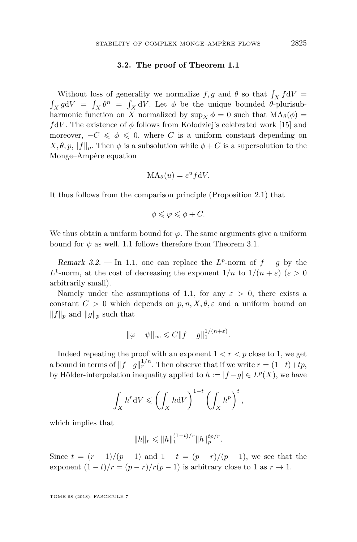#### **3.2. The proof of Theorem [1.1](#page-2-0)**

Without loss of generality we normalize  $f, g$  and  $\theta$  so that  $\int_X f dV =$  $\int_X g dV = \int_X \theta^n = \int_X dV$ . Let  $\phi$  be the unique bounded  $\theta$ -plurisubharmonic function on X normalized by  $\sup_X \phi = 0$  such that  $MA_{\theta}(\phi) =$ *f*d*V* . The existence of *φ* follows from Kołodziej's celebrated work [\[15\]](#page-18-9) and moreover,  $-C \le \phi \le 0$ , where *C* is a uniform constant depending on  $X, \theta, p, \|f\|_p$ . Then  $\phi$  is a subsolution while  $\phi + C$  is a supersolution to the Monge–Ampère equation

$$
MA_{\theta}(u) = e^u f dV.
$$

It thus follows from the comparison principle (Proposition [2.1\)](#page-3-0) that

$$
\phi \leqslant \varphi \leqslant \phi + C.
$$

We thus obtain a uniform bound for  $\varphi$ . The same arguments give a uniform bound for  $\psi$  as well. [1.1](#page-2-0) follows therefore from Theorem [3.1.](#page-5-0)

Remark 3.2. — In [1.1,](#page-2-0) one can replace the  $L^p$ -norm of  $f - g$  by the *L*<sup>1</sup>-norm, at the cost of decreasing the exponent  $1/n$  to  $1/(n + \varepsilon)$  ( $\varepsilon > 0$ arbitrarily small).

Namely under the assumptions of [1.1,](#page-2-0) for any  $\varepsilon > 0$ , there exists a constant  $C > 0$  which depends on  $p, n, X, \theta, \varepsilon$  and a uniform bound on  $||f||_p$  and  $||g||_p$  such that

$$
\|\varphi - \psi\|_{\infty} \leq C \|f - g\|_1^{1/(n+\varepsilon)}.
$$

Indeed repeating the proof with an exponent  $1 < r < p$  close to 1, we get a bound in terms of  $||f-g||_r^{1/n}$ . Then observe that if we write  $r = (1-t)+tp$ , by Hölder-interpolation inequality applied to  $h := |f - g| \in L^p(X)$ , we have

$$
\int_X h^r \mathrm{d}V \leqslant \left(\int_X h \mathrm{d}V\right)^{1-t} \left(\int_X h^p\right)^t,
$$

which implies that

$$
||h||_r \le ||h||_1^{(1-t)/r} ||h||_p^{tp/r}.
$$

Since  $t = (r - 1)/(p - 1)$  and  $1 - t = (p - r)/(p - 1)$ , we see that the exponent  $(1-t)/r = (p-r)/r(p-1)$  is arbitrary close to 1 as  $r \to 1$ .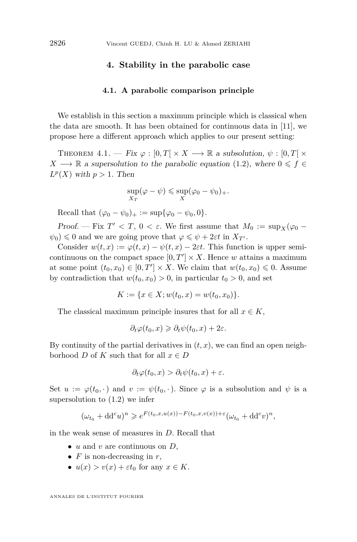#### **4. Stability in the parabolic case**

#### **4.1. A parabolic comparison principle**

We establish in this section a maximum principle which is classical when the data are smooth. It has been obtained for continuous data in [\[11\]](#page-18-11), we propose here a different approach which applies to our present setting:

<span id="page-8-0"></span>THEOREM  $4.1.$  — Fix  $\varphi : [0, T] \times X \longrightarrow \mathbb{R}$  a subsolution,  $\psi : [0, T] \times$  $X \longrightarrow \mathbb{R}$  a supersolution to the parabolic equation [\(1.2\)](#page-2-1), where  $0 \leq f \in$  $L^p(X)$  with  $p > 1$ . Then

$$
\sup_{X_T} (\varphi - \psi) \leq \sup_X (\varphi_0 - \psi_0)_+.
$$

Recall that  $(\varphi_0 - \psi_0)_+ := \sup{\{\varphi_0 - \psi_0, 0\}}$ .

Proof. — Fix  $T' < T$ ,  $0 < \varepsilon$ . We first assume that  $M_0 := \sup_X (\varphi_0 \psi_0$ )  $\leq 0$  and we are going prove that  $\varphi \leq \psi + 2\varepsilon t$  in  $X_T$ .

Consider  $w(t, x) := \varphi(t, x) - \psi(t, x) - 2\varepsilon t$ . This function is upper semicontinuous on the compact space  $[0, T'] \times X$ . Hence *w* attains a maximum at some point  $(t_0, x_0) \in [0, T'] \times X$ . We claim that  $w(t_0, x_0) \leq 0$ . Assume by contradiction that  $w(t_0, x_0) > 0$ , in particular  $t_0 > 0$ , and set

$$
K := \{ x \in X; w(t_0, x) = w(t_0, x_0) \}.
$$

The classical maximum principle insures that for all  $x \in K$ ,

$$
\partial_t \varphi(t_0, x) \geq \partial_t \psi(t_0, x) + 2\varepsilon.
$$

By continuity of the partial derivatives in  $(t, x)$ , we can find an open neighborhood *D* of *K* such that for all  $x \in D$ 

$$
\partial_t \varphi(t_0, x) > \partial_t \psi(t_0, x) + \varepsilon.
$$

Set  $u := \varphi(t_0, \cdot)$  and  $v := \psi(t_0, \cdot)$ . Since  $\varphi$  is a subsolution and  $\psi$  is a supersolution to [\(1.2\)](#page-2-1) we infer

$$
(\omega_{t_0} + dd^c u)^n \geqslant e^{F(t_0, x, u(x)) - F(t_0, x, v(x)) + \varepsilon} (\omega_{t_0} + dd^c v)^n,
$$

in the weak sense of measures in *D*. Recall that

- *u* and *v* are continuous on *D*,
- *F* is non-decreasing in *r*,
- $u(x) > v(x) + \varepsilon t_0$  for any  $x \in K$ .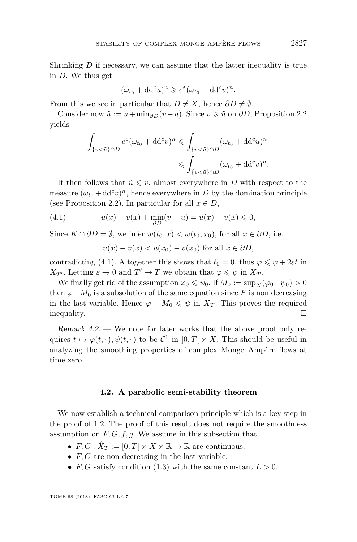Shrinking *D* if necessary, we can assume that the latter inequality is true in *D*. We thus get

$$
(\omega_{t_0} + dd^c u)^n \geqslant e^{\varepsilon} (\omega_{t_0} + dd^c v)^n.
$$

From this we see in particular that  $D \neq X$ , hence  $\partial D \neq \emptyset$ .

Consider now  $\tilde{u} := u + \min_{\partial D} (v - u)$ . Since  $v \geq \tilde{u}$  on  $\partial D$ , Proposition [2.2](#page-3-1) yields

$$
\int_{\{v < \tilde{u}\} \cap D} e^{\varepsilon} (\omega_{t_0} + \mathrm{d} \mathrm{d}^c v)^n \leq \int_{\{v < \tilde{u}\} \cap D} (\omega_{t_0} + \mathrm{d} \mathrm{d}^c u)^n
$$
\n
$$
\leq \int_{\{v < \tilde{u}\} \cap D} (\omega_{t_0} + \mathrm{d} \mathrm{d}^c v)^n.
$$

It then follows that  $\tilde{u} \leq v$ , almost everywhere in *D* with respect to the measure  $(\omega_{t_0} + dd^c v)^n$ , hence everywhere in *D* by the domination principle (see Proposition [2.2\)](#page-3-1). In particular for all  $x \in D$ ,

(4.1) 
$$
u(x) - v(x) + \min_{\partial D} (v - u) = \tilde{u}(x) - v(x) \leq 0,
$$

Since  $K \cap \partial D = \emptyset$ , we infer  $w(t_0, x) < w(t_0, x_0)$ , for all  $x \in \partial D$ , i.e.

<span id="page-9-0"></span>
$$
u(x) - v(x) < u(x_0) - v(x_0) \text{ for all } x \in \partial D,
$$

contradicting [\(4.1\)](#page-9-0). Altogether this shows that  $t_0 = 0$ , thus  $\varphi \leq \psi + 2\varepsilon t$  in *X*<sub>*T*</sub><sup>*l*</sup>. Letting  $\varepsilon \to 0$  and  $T' \to T$  we obtain that  $\varphi \leqslant \psi$  in *X*<sub>*T*</sub>.

We finally get rid of the assumption  $\varphi_0 \leq \psi_0$ . If  $M_0 := \sup_X (\varphi_0 - \psi_0) > 0$ then  $\varphi$ −*M*<sub>0</sub> is a subsolution of the same equation since *F* is non decreasing in the last variable. Hence  $\varphi - M_0 \leq \psi$  in  $X_T$ . This proves the required inequality.  $\Box$ 

Remark 4.2. — We note for later works that the above proof only requires  $t \mapsto \varphi(t, \cdot), \psi(t, \cdot)$  to be  $\mathcal{C}^1$  in  $]0, T[ \times X$ . This should be useful in analyzing the smoothing properties of complex Monge–Ampère flows at time zero.

#### **4.2. A parabolic semi-stability theorem**

We now establish a technical comparison principle which is a key step in the proof of [1.2.](#page-2-2) The proof of this result does not require the smoothness assumption on  $F, G, f, g$ . We assume in this subsection that

- $F, G: \hat{X}_T := [0, T] \times X \times \mathbb{R} \to \mathbb{R}$  are continuous;
- *F, G* are non decreasing in the last variable;
- $F, G$  satisfy condition [\(1.3\)](#page-2-3) with the same constant  $L > 0$ .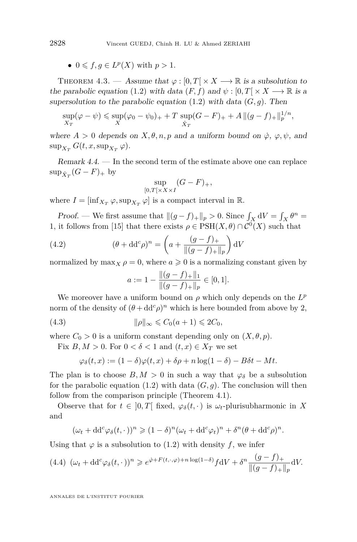•  $0 \leqslant f, g \in L^p(X)$  with  $p > 1$ .

THEOREM 4.3. — Assume that  $\varphi : [0, T] \times X \longrightarrow \mathbb{R}$  is a subsolution to the parabolic equation [\(1.2\)](#page-2-1) with data  $(F, f)$  and  $\psi : [0, T] \times X \longrightarrow \mathbb{R}$  is a supersolution to the parabolic equation  $(1.2)$  with data  $(G, q)$ . Then

$$
\sup_{X_T} (\varphi - \psi) \le \sup_X (\varphi_0 - \psi_0)_+ + T \sup_{\hat{X}_T} (G - F)_+ + A \, \|(g - f)_+\|_p^{1/n},
$$

where  $A > 0$  depends on  $X, \theta, n, p$  and a uniform bound on  $\dot{\varphi}, \varphi, \psi$ , and  $\sup_{X_T} G(t, x, \sup_{X_T} \varphi).$ 

Remark 4.4. — In the second term of the estimate above one can replace  $\sup_{\hat{X}_T} (G - F)_+$  by

$$
\sup_{[0,T[\times X \times I]} (G - F)_+,
$$

where  $I = [\inf_{X_T} \varphi, \sup_{X_T} \varphi]$  is a compact interval in  $\mathbb{R}$ .

*Proof.* — We first assume that  $||(g - f)_{+}||_{p} > 0$ . Since  $\int_{X} dV = \int_{X} \theta^{n} =$ 1, it follows from [\[15\]](#page-18-9) that there exists  $\rho \in \text{PSH}(X, \theta) \cap C^0(X)$  such that

(4.2) 
$$
(\theta + dd^c \rho)^n = \left( a + \frac{(g - f)_+}{\|(g - f)_+\|_p} \right) dV
$$

normalized by  $\max_X \rho = 0$ , where  $a \geq 0$  is a normalizing constant given by

<span id="page-10-2"></span><span id="page-10-1"></span>
$$
a := 1 - \frac{\|(g - f)_+\|_1}{\|(g - f)_+\|_p} \in [0, 1].
$$

We moreover have a uniform bound on  $\rho$  which only depends on the  $L^p$ norm of the density of  $(\theta + dd^c \rho)^n$  which is here bounded from above by 2,

(4.3) 
$$
\|\rho\|_{\infty} \leq C_0(a+1) \leq 2C_0,
$$

where  $C_0 > 0$  is a uniform constant depending only on  $(X, \theta, p)$ .

Fix  $B, M > 0$ . For  $0 < \delta < 1$  and  $(t, x) \in X_T$  we set

$$
\varphi_{\delta}(t,x) := (1-\delta)\varphi(t,x) + \delta\rho + n\log(1-\delta) - B\delta t - Mt.
$$

The plan is to choose  $B, M > 0$  in such a way that  $\varphi_{\delta}$  be a subsolution for the parabolic equation  $(1.2)$  with data  $(G, g)$ . The conclusion will then follow from the comparison principle (Theorem [4.1\)](#page-8-0).

Observe that for  $t \in [0, T]$  fixed,  $\varphi_{\delta}(t, \cdot)$  is  $\omega_t$ -plurisubharmonic in X and

$$
(\omega_t + dd^c \varphi_\delta(t,\cdot))^n \geq (1-\delta)^n (\omega_t + dd^c \varphi_t)^n + \delta^n (\theta + dd^c \rho)^n.
$$

Using that  $\varphi$  is a subsolution to [\(1.2\)](#page-2-1) with density *f*, we infer

<span id="page-10-0"></span>
$$
(4.4)\ (\omega_t + dd^c\varphi_\delta(t,\cdot))^n \geq e^{\dot{\varphi} + F(t,\cdot,\varphi) + n\log(1-\delta)} f dV + \delta^n \frac{(g-f)_+}{\|(g-f)_+\|_p} dV.
$$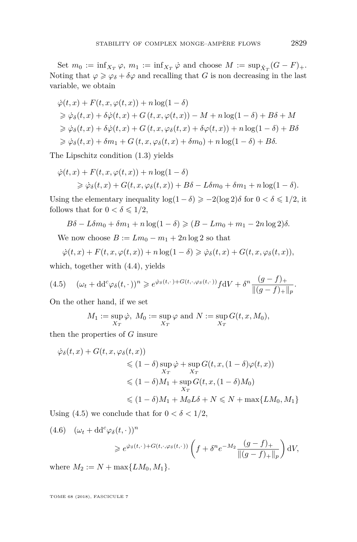Set  $m_0 := \inf_{X_T} \varphi$ ,  $m_1 := \inf_{X_T} \varphi$  and choose  $M := \sup_{\hat{X}_T} (G - F)_+$ . Noting that  $\varphi \geq \varphi_{\delta} + \delta \varphi$  and recalling that *G* is non decreasing in the last variable, we obtain

$$
\dot{\varphi}(t,x) + F(t,x,\varphi(t,x)) + n \log(1 - \delta)
$$
  
\n
$$
\geq \dot{\varphi}_{\delta}(t,x) + \delta \dot{\varphi}(t,x) + G(t,x,\varphi(t,x)) - M + n \log(1 - \delta) + B\delta + M
$$
  
\n
$$
\geq \dot{\varphi}_{\delta}(t,x) + \delta \dot{\varphi}(t,x) + G(t,x,\varphi_{\delta}(t,x) + \delta \varphi(t,x)) + n \log(1 - \delta) + B\delta
$$
  
\n
$$
\geq \dot{\varphi}_{\delta}(t,x) + \delta m_1 + G(t,x,\varphi_{\delta}(t,x) + \delta m_0) + n \log(1 - \delta) + B\delta.
$$

The Lipschitz condition [\(1.3\)](#page-2-3) yields

$$
\dot{\varphi}(t,x) + F(t,x,\varphi(t,x)) + n \log(1-\delta)
$$
  
\$\geq \dot{\varphi}\_{\delta}(t,x) + G(t,x,\varphi\_{\delta}(t,x)) + B\delta - L\delta m\_0 + \delta m\_1 + n \log(1-\delta).

Using the elementary inequality  $\log(1-\delta) \geq -2(\log 2)\delta$  for  $0 < \delta \leq 1/2$ , it follows that for  $0 < \delta \leq 1/2$ ,

$$
B\delta - L\delta m_0 + \delta m_1 + n\log(1 - \delta) \geqslant (B - Lm_0 + m_1 - 2n\log 2)\delta.
$$

We now choose  $B := Lm_0 - m_1 + 2n \log 2$  so that

$$
\dot{\varphi}(t,x) + F(t,x,\varphi(t,x)) + n \log(1-\delta) \geq \dot{\varphi}_{\delta}(t,x) + G(t,x,\varphi_{\delta}(t,x)),
$$

which, together with [\(4.4\)](#page-10-0), yields

<span id="page-11-0"></span>
$$
(4.5) \quad (\omega_t + dd^c \varphi_\delta(t, \cdot))^n \geq e^{\dot{\varphi}_\delta(t, \cdot) + G(t, \cdot, \varphi_\delta(t, \cdot))} f \, dV + \delta^n \frac{(g - f)_+}{\|(g - f)_+\|_p}.
$$

On the other hand, if we set

$$
M_1 := \sup_{X_T} \dot{\varphi}, \ M_0 := \sup_{X_T} \varphi \text{ and } N := \sup_{X_T} G(t, x, M_0),
$$

then the properties of *G* insure

$$
\dot{\varphi}_{\delta}(t,x) + G(t,x,\varphi_{\delta}(t,x))
$$
  
\n
$$
\leq (1 - \delta) \sup_{X_T} \dot{\varphi} + \sup_{X_T} G(t,x,(1 - \delta)\varphi(t,x))
$$
  
\n
$$
\leq (1 - \delta)M_1 + \sup_{X_T} G(t,x,(1 - \delta)M_0)
$$
  
\n
$$
\leq (1 - \delta)M_1 + M_0L\delta + N \leq N + \max\{LM_0, M_1\}
$$

Using [\(4.5\)](#page-11-0) we conclude that for  $0 < \delta < 1/2$ ,

<span id="page-11-1"></span>
$$
(4.6) \quad (\omega_t + dd^c \varphi_\delta(t, \cdot))^n
$$
  
\$\ge e^{\dot{\varphi}\_\delta(t, \cdot) + G(t, \cdot, \varphi\_\delta(t, \cdot))} \left( f + \delta^n e^{-M\_2} \frac{(g - f)\_+}{\|(g - f)\_+\|\_p} \right) dV\$

where  $M_2 := N + \max\{LM_0, M_1\}.$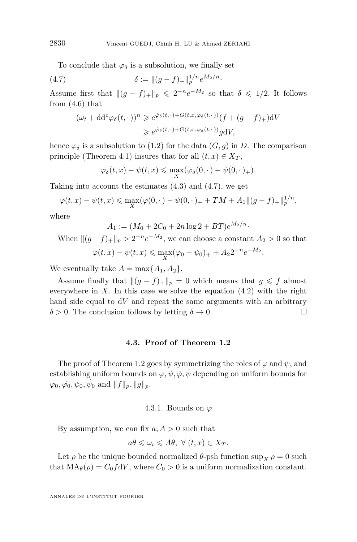To conclude that  $\varphi_{\delta}$  is a subsolution, we finally set

(4.7) 
$$
\delta := ||(g - f)_+||_p^{1/n} e^{M_2/n}.
$$

Assume first that  $\|(g - f)_+\|_p \leq 2^{-n}e^{-M_2}$  so that  $\delta \leq 1/2$ . It follows from  $(4.6)$  that

<span id="page-12-0"></span>
$$
(\omega_t + dd^c \varphi_\delta(t, \cdot))^n \geq e^{\dot{\varphi}_\delta(t, \cdot) + G(t, x, \varphi_\delta(t, \cdot))} (f + (g - f)_+) dV
$$
  

$$
\geq e^{\dot{\varphi}_\delta(t, \cdot) + G(t, x, \varphi_\delta(t, \cdot))} g dV,
$$

hence  $\varphi_{\delta}$  is a subsolution to [\(1.2\)](#page-2-1) for the data  $(G, g)$  in *D*. The comparison principle (Theorem [4.1\)](#page-8-0) insures that for all  $(t, x) \in X_T$ ,

$$
\varphi_{\delta}(t,x)-\psi(t,x)\leqslant \max_X(\varphi_{\delta}(0,\cdot)-\psi(0,\cdot)_+).
$$

Taking into account the estimates [\(4.3\)](#page-10-1) and [\(4.7\)](#page-12-0), we get

$$
\varphi(t,x) - \psi(t,x) \le \max_X (\varphi(0,\cdot) - \psi(0,\cdot)_+ + TM + A_1 ||(g-f)_+||_p^{1/n},
$$

where

$$
A_1 := (M_0 + 2C_0 + 2n \log 2 + BT)e^{M_2/n}
$$

When  $||(g - f)_{+}||_{p} > 2^{-n}e^{-M_2}$ , we can choose a constant  $A_2 > 0$  so that  $\varphi(t, x) - \psi(t, x) \le \max_{X} (\varphi_0 - \psi_0)_+ + A_2 2^{-n} e^{-M_2}.$ 

·

We eventually take  $A = \max\{A_1, A_2\}.$ 

Assume finally that  $||(g - f)_{+}||_{p} = 0$  which means that  $g \leq f$  almost everywhere in  $X$ . In this case we solve the equation  $(4.2)$  with the right hand side equal to d*V* and repeat the same arguments with an arbitrary  $\delta > 0$ . The conclusion follows by letting  $\delta \to 0$ .

#### **4.3. Proof of Theorem [1.2](#page-2-2)**

The proof of Theorem [1.2](#page-2-2) goes by symmetrizing the roles of  $\varphi$  and  $\psi$ , and establishing uniform bounds on  $\varphi, \psi, \dot{\varphi}, \dot{\psi}$  depending on uniform bounds for  $\varphi_0, \dot{\varphi_0}, \psi_0, \dot{\psi_0} \text{ and } ||f||_p, ||g||_p.$ 

#### 4.3.1. Bounds on *ϕ*

By assumption, we can fix *a, A >* 0 such that

$$
a\theta \leq \omega_t \leq A\theta, \ \forall \ (t, x) \in X_T.
$$

Let  $\rho$  be the unique bounded normalized  $\theta$ -psh function sup<sub>*X*</sub>  $\rho = 0$  such that  $MA_{\theta}(\rho) = C_0 f dV$ , where  $C_0 > 0$  is a uniform normalization constant.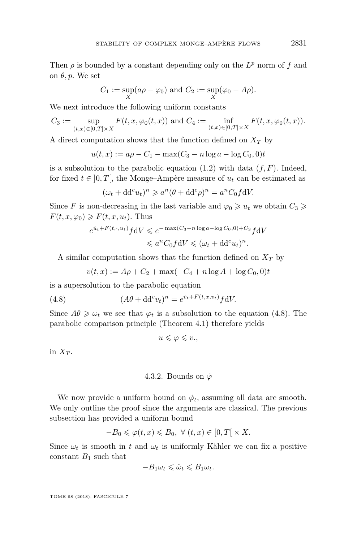Then  $\rho$  is bounded by a constant depending only on the  $L^p$  norm of  $f$  and on  $\theta$ , *p*. We set

$$
C_1 := \sup_X (a\rho - \varphi_0) \text{ and } C_2 := \sup_X (\varphi_0 - A\rho).
$$

We next introduce the following uniform constants

$$
C_3 := \sup_{(t,x)\in[0,T]\times X} F(t,x,\varphi_0(t,x)) \text{ and } C_4 := \inf_{(t,x)\in[0,T]\times X} F(t,x,\varphi_0(t,x)).
$$

A direct computation shows that the function defined on  $X_T$  by

$$
u(t, x) := a\rho - C_1 - \max(C_3 - n\log a - \log C_0, 0)t
$$

is a subsolution to the parabolic equation  $(1.2)$  with data  $(f, F)$ . Indeed, for fixed  $t \in [0, T]$ , the Monge–Ampère measure of  $u_t$  can be estimated as

$$
(\omega_t + dd^c u_t)^n \geq a^n (\theta + dd^c \rho)^n = a^n C_0 f dV.
$$

Since *F* is non-decreasing in the last variable and  $\varphi_0 \geq u_t$  we obtain  $C_3 \geq$  $F(t, x, \varphi_0) \geqslant F(t, x, u_t)$ . Thus

$$
e^{\dot{u}_t + F(t, \cdot, u_t)} f \, dV \leqslant e^{-\max(C_3 - n \log a - \log C_0, 0) + C_3} f \, dV
$$
  

$$
\leqslant a^n C_0 f \, dV \leqslant (\omega_t + \mathrm{d} d^c u_t)^n.
$$

A similar computation shows that the function defined on *X<sup>T</sup>* by

<span id="page-13-0"></span>
$$
v(t, x) := A\rho + C_2 + \max(-C_4 + n\log A + \log C_0, 0)t
$$

is a supersolution to the parabolic equation

(4.8) 
$$
(A\theta + dd^c v_t)^n = e^{\dot{v}_t + F(t, x, v_t)} f dV.
$$

Since  $A\theta \geq \omega_t$  we see that  $\varphi_t$  is a subsolution to the equation [\(4.8\)](#page-13-0). The parabolic comparison principle (Theorem [4.1\)](#page-8-0) therefore yields

$$
u\leqslant \varphi \leqslant v.,
$$

in  $X_T$ .

#### 4.3.2. Bounds on  $\dot{\varphi}$

We now provide a uniform bound on  $\dot{\varphi}_t$ , assuming all data are smooth. We only outline the proof since the arguments are classical. The previous subsection has provided a uniform bound

$$
-B_0 \leqslant \varphi(t, x) \leqslant B_0, \ \forall \ (t, x) \in [0, T[ \times X.
$$

Since  $\omega_t$  is smooth in *t* and  $\omega_t$  is uniformly Kähler we can fix a positive constant  $B_1$  such that

$$
-B_1\omega_t \leq \dot{\omega}_t \leq B_1\omega_t.
$$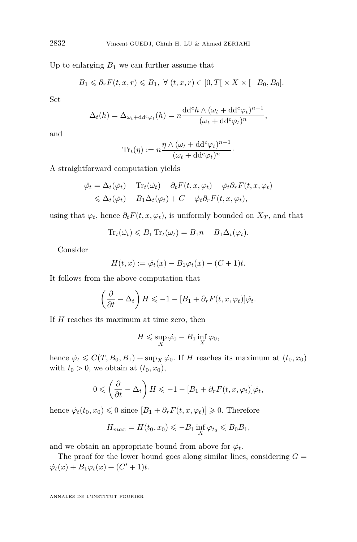Up to enlarging  $B_1$  we can further assume that

$$
-B_1 \leq \partial_r F(t, x, r) \leq B_1, \ \forall \ (t, x, r) \in [0, T[ \times X \times [-B_0, B_0].
$$

Set

$$
\Delta_t(h) = \Delta_{\omega_t + \mathrm{dd}^c \varphi_t}(h) = n \frac{\mathrm{dd}^c h \wedge (\omega_t + \mathrm{dd}^c \varphi_t)^{n-1}}{(\omega_t + \mathrm{dd}^c \varphi_t)^n},
$$

and

$$
\mathrm{Tr}_t(\eta) := n \frac{\eta \wedge (\omega_t + \mathrm{d} \mathrm{d}^c \varphi_t)^{n-1}}{(\omega_t + \mathrm{d} \mathrm{d}^c \varphi_t)^n}.
$$

A straightforward computation yields

$$
\begin{aligned} \n\ddot{\varphi}_t &= \Delta_t(\dot{\varphi}_t) + \text{Tr}_t(\dot{\omega}_t) - \partial_t F(t, x, \varphi_t) - \dot{\varphi}_t \partial_r F(t, x, \varphi_t) \\ \n&\leq \Delta_t(\dot{\varphi}_t) - B_1 \Delta_t(\varphi_t) + C - \dot{\varphi}_t \partial_r F(t, x, \varphi_t), \n\end{aligned}
$$

using that  $\varphi_t$ , hence  $\partial_t F(t, x, \varphi_t)$ , is uniformly bounded on  $X_T$ , and that

$$
\mathrm{Tr}_t(\dot{\omega_t}) \leq B_1 \mathrm{Tr}_t(\omega_t) = B_1 n - B_1 \Delta_t(\varphi_t).
$$

Consider

$$
H(t, x) := \dot{\varphi}_t(x) - B_1 \varphi_t(x) - (C + 1)t.
$$

It follows from the above computation that

$$
\left(\frac{\partial}{\partial t} - \Delta_t\right) H \leqslant -1 - [B_1 + \partial_r F(t, x, \varphi_t)] \dot{\varphi}_t.
$$

If *H* reaches its maximum at time zero, then

$$
H \leqslant \sup_X \dot{\varphi_0} - B_1 \inf_X \varphi_0,
$$

hence  $\dot{\varphi}_t \leq C(T, B_0, B_1) + \sup_X \dot{\varphi}_0$ . If *H* reaches its maximum at  $(t_0, x_0)$ with  $t_0 > 0$ , we obtain at  $(t_0, x_0)$ ,

$$
0 \leqslant \left(\frac{\partial}{\partial t} - \Delta_t\right) H \leqslant -1 - [B_1 + \partial_r F(t, x, \varphi_t)] \dot{\varphi}_t,
$$

hence  $\dot{\varphi}_t(t_0, x_0) \leq 0$  since  $[B_1 + \partial_r F(t, x, \varphi_t)] \geq 0$ . Therefore

$$
H_{max} = H(t_0, x_0) \leqslant -B_1 \inf_X \varphi_{t_0} \leqslant B_0 B_1,
$$

and we obtain an appropriate bound from above for  $\dot{\varphi}_t$ .

The proof for the lower bound goes along similar lines, considering  $G =$  $\dot{\varphi}_t(x) + B_1 \varphi_t(x) + (C' + 1)t.$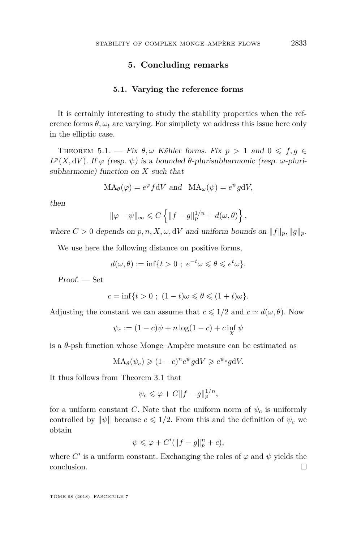#### **5. Concluding remarks**

#### **5.1. Varying the reference forms**

It is certainly interesting to study the stability properties when the reference forms  $\theta$ ,  $\omega_t$  are varying. For simplicty we address this issue here only in the elliptic case.

THEOREM 5.1. — Fix  $\theta, \omega$  Kähler forms. Fix  $p > 1$  and  $0 \leq f, g \in$ *L*<sup>*p*</sup>(*X*, d*V*). If *ϕ* (resp. *ψ*) is a bounded *θ*-plurisubharmonic (resp. *ω*-plurisubharmonic) function on *X* such that

$$
MA_{\theta}(\varphi) = e^{\varphi} f dV \text{ and } MA_{\omega}(\psi) = e^{\psi} g dV,
$$

then

$$
\|\varphi - \psi\|_{\infty} \leq C \left\{ \|f - g\|_p^{1/n} + d(\omega, \theta) \right\},\
$$

where  $C > 0$  depends on  $p, n, X, \omega, dV$  and uniform bounds on  $||f||_p, ||g||_p$ .

We use here the following distance on positive forms,

$$
d(\omega,\theta) := \inf\{t > 0 \; ; \; e^{-t}\omega \leq \theta \leq e^t\omega\}.
$$

Proof. — Set

$$
c = \inf\{t > 0 \; ; \; (1-t)\omega \leqslant \theta \leqslant (1+t)\omega\}.
$$

Adjusting the constant we can assume that  $c \leq 1/2$  and  $c \simeq d(\omega, \theta)$ . Now

$$
\psi_c := (1 - c)\psi + n\log(1 - c) + c\inf_X \psi
$$

is a *θ*-psh function whose Monge–Ampère measure can be estimated as

$$
MA_{\theta}(\psi_c) \geq (1-c)^n e^{\psi} g dV \geq e^{\psi_c} g dV.
$$

It thus follows from Theorem [3.1](#page-5-0) that

$$
\psi_c \leqslant \varphi + C \|f - g\|_p^{1/n},
$$

for a uniform constant *C*. Note that the uniform norm of  $\psi_c$  is uniformly controlled by  $\|\psi\|$  because  $c \leq 1/2$ . From this and the definition of  $\psi_c$  we obtain

$$
\psi \leqslant \varphi + C'(\|f - g\|_p^n + c),
$$

where  $C'$  is a uniform constant. Exchanging the roles of  $\varphi$  and  $\psi$  yields the conclusion.  $\Box$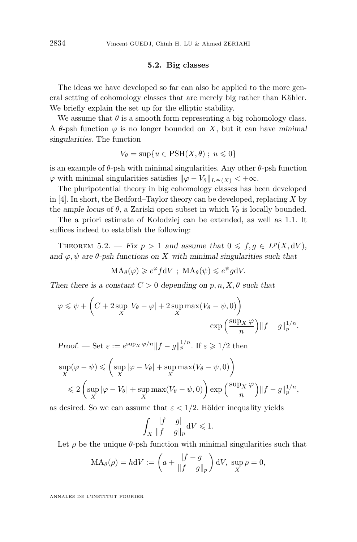#### **5.2. Big classes**

The ideas we have developed so far can also be applied to the more general setting of cohomology classes that are merely big rather than Kähler. We briefly explain the set up for the elliptic stability.

We assume that  $\theta$  is a smooth form representing a big cohomology class. A  $\theta$ -psh function  $\varphi$  is no longer bounded on X, but it can have minimal singularities. The function

$$
V_{\theta} = \sup\{u \in \text{PSH}(X,\theta) ; u \leq 0\}
$$

is an example of  $\theta$ -psh with minimal singularities. Any other  $\theta$ -psh function  $\varphi$  with minimal singularities satisfies  $\|\varphi - V_\theta\|_{L^\infty(X)} < +\infty$ .

The pluripotential theory in big cohomology classes has been developed in [\[4\]](#page-17-5). In short, the Bedford–Taylor theory can be developed, replacing *X* by the ample locus of  $\theta$ , a Zariski open subset in which  $V_{\theta}$  is locally bounded.

The a priori estimate of Kołodziej can be extended, as well as [1.1.](#page-2-0) It suffices indeed to establish the following:

THEOREM 5.2. — Fix  $p > 1$  and assume that  $0 \leq f, g \in L^p(X, dV)$ , and  $\varphi, \psi$  are  $\theta$ -psh functions on *X* with minimal singularities such that

$$
MA_{\theta}(\varphi) \geq e^{\varphi} f dV
$$
;  $MA_{\theta}(\psi) \leq e^{\psi} g dV$ .

Then there is a constant  $C > 0$  depending on  $p, n, X, \theta$  such that

$$
\varphi \leq \psi + \left( C + 2 \sup_{X} |V_{\theta} - \varphi| + 2 \sup_{X} \max(V_{\theta} - \psi, 0) \right) \exp\left( \frac{\sup_{X} \varphi}{n} \right) ||f - g||_{p}^{1/n}.
$$

Proof. — Set  $\varepsilon := e^{\sup x \varphi/n} ||f - g||_p^{1/n}$ . If  $\varepsilon \geq 1/2$  then

$$
\sup_{X}(\varphi - \psi) \leq \left(\sup_{X} |\varphi - V_{\theta}| + \sup_{X} \max(V_{\theta} - \psi, 0)\right)
$$
  

$$
\leq 2 \left(\sup_{X} |\varphi - V_{\theta}| + \sup_{X} \max(V_{\theta} - \psi, 0)\right) \exp\left(\frac{\sup_{X} \varphi}{n}\right) ||f - g||_{p}^{1/n},
$$

as desired. So we can assume that  $\varepsilon < 1/2$ . Hölder inequality yields

$$
\int_X \frac{|f-g|}{\|f-g\|_p} \mathrm{d}V \leq 1.
$$

Let  $\rho$  be the unique  $\theta$ -psh function with minimal singularities such that

$$
MA_{\theta}(\rho) = hdV := \left(a + \frac{|f - g|}{\|f - g\|_{p}}\right)dV, \sup_{X} \rho = 0,
$$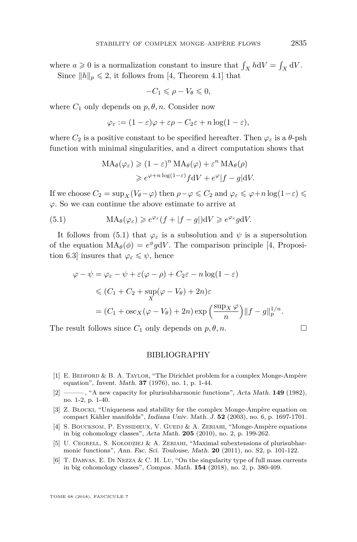where  $a \geqslant 0$  is a normalization constant to insure that  $\int_X h \, dV = \int_X dV$ . Since  $||h||_p \le 2$ , it follows from [\[4,](#page-17-5) Theorem 4.1] that

$$
-C_1 \leqslant \rho - V_{\theta} \leqslant 0,
$$

where  $C_1$  only depends on  $p, \theta, n$ . Consider now

$$
\varphi_{\varepsilon} := (1 - \varepsilon)\varphi + \varepsilon\rho - C_2\varepsilon + n\log(1 - \varepsilon),
$$

where  $C_2$  is a positive constant to be specified hereafter. Then  $\varphi_{\varepsilon}$  is a  $\theta$ -psh function with minimal singularities, and a direct computation shows that

<span id="page-17-6"></span>
$$
MA_{\theta}(\varphi_{\varepsilon}) \geq (1 - \varepsilon)^{n} MA_{\theta}(\varphi) + \varepsilon^{n} MA_{\theta}(\rho)
$$
  

$$
\geq e^{\varphi + n \log(1 - \varepsilon)} f dV + e^{\varphi} |f - g| dV.
$$

If we choose  $C_2 = \sup_X (V_\theta - \varphi)$  then  $\rho - \varphi \leqslant C_2$  and  $\varphi_\varepsilon \leqslant \varphi + n \log(1-\varepsilon) \leqslant$ *ϕ*. So we can continue the above estimate to arrive at

(5.1) 
$$
\mathrm{MA}_{\theta}(\varphi_{\varepsilon}) \geqslant e^{\varphi_{\varepsilon}}(f + |f - g|) \mathrm{d}V \geqslant e^{\varphi_{\varepsilon}} g \mathrm{d}V.
$$

It follows from [\(5.1\)](#page-17-6) that  $\varphi_{\varepsilon}$  is a subsolution and  $\psi$  is a supersolution of the equation  $MA_{\theta}(\phi) = e^{\phi}gdV$ . The comparison principle [\[4,](#page-17-5) Proposition 6.3] insures that  $\varphi_{\varepsilon} \leq \psi$ , hence

$$
\varphi - \psi = \varphi_{\varepsilon} - \psi + \varepsilon (\varphi - \rho) + C_2 \varepsilon - n \log(1 - \varepsilon)
$$
  
\$\leqslant (C\_1 + C\_2 + \sup\_X (\varphi - V\_\theta) + 2n)\varepsilon\$  
= (C\_1 + \log\_X (\varphi - V\_\theta) + 2n) \exp\left(\frac{\sup\_X \varphi}{n}\right) ||f - g||\_p^{1/n}\$.

The result follows since  $C_1$  only depends on  $p, \theta, n$ .

#### BIBLIOGRAPHY

- <span id="page-17-1"></span>[1] E. BEDFORD & B. A. TAYLOR, "The Dirichlet problem for a complex Monge-Ampère equation", Invent. Math. **37** (1976), no. 1, p. 1-44.
- <span id="page-17-2"></span>[2] ——— , "A new capacity for plurisubharmonic functions", Acta Math. **149** (1982), no. 1-2, p. 1-40.
- <span id="page-17-0"></span>[3] Z. Błocki, "Uniqueness and stability for the complex Monge-Ampère equation on compact Kähler manifolds", Indiana Univ. Math. J. **52** (2003), no. 6, p. 1697-1701.
- <span id="page-17-5"></span>[4] S. BOUCKSOM, P. EYSSIDIEUX, V. GUEDJ & A. ZERIAHI, "Monge-Ampère equations in big cohomology classes", Acta Math. **205** (2010), no. 2, p. 199-262.
- <span id="page-17-4"></span>[5] U. CEGRELL, S. KOŁODZIEJ & A. ZERIAHI, "Maximal subextensions of plurisubharmonic functions", Ann. Fac. Sci. Toulouse, Math. **20** (2011), no. S2, p. 101-122.
- <span id="page-17-3"></span>[6] T. Darvas, E. Di Nezza & C. H. Lu, "On the singularity type of full mass currents in big cohomology classes", Compos. Math. **154** (2018), no. 2, p. 380-409.